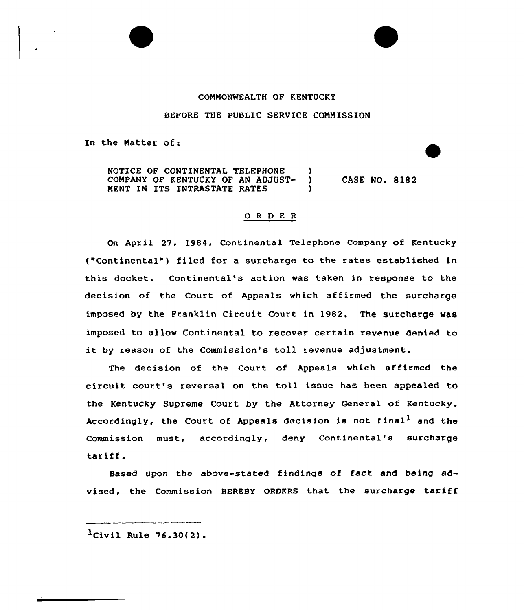## CONNONWEALTH OF KENTUCKY

## BEFORE THE PUBLIC SERVICE CONNISSION

In the Natter of:

NOTICE OF CONTINENTAL TELEPHONE )<br>COMPANY OF KENTUCKY OF AN ADJUST-COMPANY OF KENTUCKY OF AN ADJUST-MENT IN ITS INTRASTATE RATES CASE NO. 8182

## ORDER

On April 27, 1984, Continental Telephone Company of Kentucky ("Continental") filed for a surcharge to the rates established in this docket. Continental's action was taken in response to the decision of the Court of Appeals which affirmed the surcharge imposed by the Franklin Circuit Court in 1982. The surcharge was imposed to allow Continental to recover certain revenue denied to it by reason of the Commission's toll revenue adjustment.

The decision of the Court of Appeals which affirmed the circuit court's reversal on the toll issue has been appealed to the Kentucky Supreme Court by the Attorney General of Kentucky. Accordingly, the Court of Appeals decision is not final<sup>1</sup> and the Commission must, accordingly, deny Continental's surcharge tariff.

Based upon the above-stated findings of fact and being advised, the Commission HEREBY ORDERS that the surcharge tariff

 $l$ Civil Rule 76.30(2).